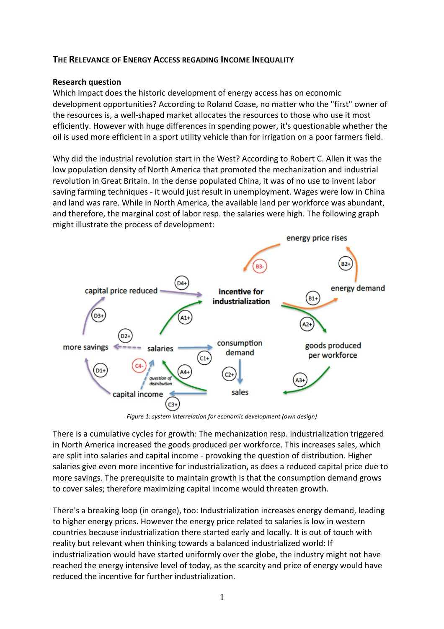## **THE RELEVANCE OF ENERGY ACCESS REGADING INCOME INEQUALITY**

## **Research question**

Which impact does the historic development of energy access has on economic development opportunities? According to Roland Coase, no matter who the "first" owner of the resources is, a well-shaped market allocates the resources to those who use it most efficiently. However with huge differences in spending power, it's questionable whether the oil is used more efficient in a sport utility vehicle than for irrigation on a poor farmers field.

Why did the industrial revolution start in the West? According to Robert C. Allen it was the low population density of North America that promoted the mechanization and industrial revolution in Great Britain. In the dense populated China, it was of no use to invent labor saving farming techniques - it would just result in unemployment. Wages were low in China and land was rare. While in North America, the available land per workforce was abundant, and therefore, the marginal cost of labor resp. the salaries were high. The following graph might illustrate the process of development:



Figure 1: system interrelation for economic development (own design)

There is a cumulative cycles for growth: The mechanization resp. industrialization triggered in North America increased the goods produced per workforce. This increases sales, which are split into salaries and capital income - provoking the question of distribution. Higher salaries give even more incentive for industrialization, as does a reduced capital price due to more savings. The prerequisite to maintain growth is that the consumption demand grows to cover sales; therefore maximizing capital income would threaten growth.

There's a breaking loop (in orange), too: Industrialization increases energy demand, leading to higher energy prices. However the energy price related to salaries is low in western countries because industrialization there started early and locally. It is out of touch with reality but relevant when thinking towards a balanced industrialized world: If industrialization would have started uniformly over the globe, the industry might not have reached the energy intensive level of today, as the scarcity and price of energy would have reduced the incentive for further industrialization.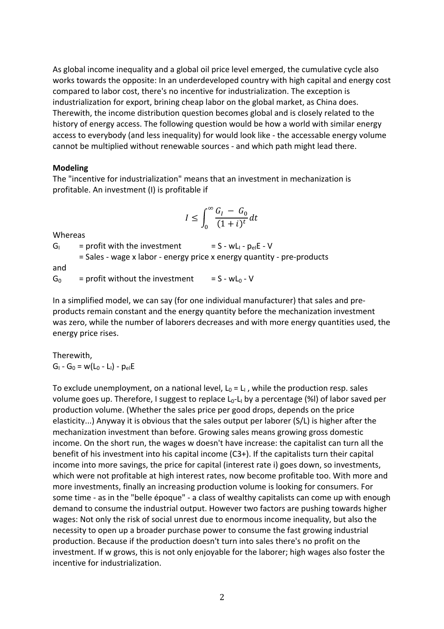As global income inequality and a global oil price level emerged, the cumulative cycle also works towards the opposite: In an underdeveloped country with high capital and energy cost compared to labor cost, there's no incentive for industrialization. The exception is industrialization for export, brining cheap labor on the global market, as China does. Therewith, the income distribution question becomes global and is closely related to the history of energy access. The following question would be how a world with similar energy access to everybody (and less inequality) for would look like - the accessable energy volume cannot be multiplied without renewable sources - and which path might lead there.

## **Modeling**

The "incentive for industrialization" means that an investment in mechanization is profitable. An investment (I) is profitable if

$$
I \le \int_0^\infty \frac{G_I - G_0}{(1+i)^t} dt
$$

Whereas

 $G_1$  = profit with the investment = S - wL<sub>I</sub> -  $p_{el}E - V$ = Sales - wage x labor - energy price x energy quantity - pre-products and  $G_0$  = profit without the investment = S - wL<sub>0</sub> - V

In a simplified model, we can say (for one individual manufacturer) that sales and preproducts remain constant and the energy quantity before the mechanization investment was zero, while the number of laborers decreases and with more energy quantities used, the energy price rises.

Therewith,  $G_1 - G_0 = w(L_0 - L_1) - p_{el}E$ 

To exclude unemployment, on a national level,  $L_0 = L_1$ , while the production resp. sales volume goes up. Therefore, I suggest to replace L<sub>0</sub>-L<sub>I</sub> by a percentage (%I) of labor saved per production volume. (Whether the sales price per good drops, depends on the price elasticity...) Anyway it is obvious that the sales output per laborer (S/L) is higher after the mechanization investment than before. Growing sales means growing gross domestic income. On the short run, the wages w doesn't have increase: the capitalist can turn all the benefit of his investment into his capital income  $(C3+)$ . If the capitalists turn their capital income into more savings, the price for capital (interest rate i) goes down, so investments, which were not profitable at high interest rates, now become profitable too. With more and more investments, finally an increasing production volume is looking for consumers. For some time - as in the "belle époque" - a class of wealthy capitalists can come up with enough demand to consume the industrial output. However two factors are pushing towards higher wages: Not only the risk of social unrest due to enormous income inequality, but also the necessity to open up a broader purchase power to consume the fast growing industrial production. Because if the production doesn't turn into sales there's no profit on the investment. If w grows, this is not only enjoyable for the laborer; high wages also foster the incentive for industrialization.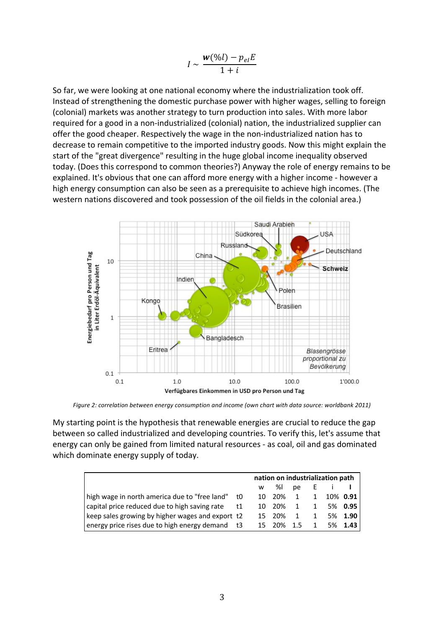$$
I \sim \frac{w(\%l) - p_{el}E}{1 + i}
$$

So far, we were looking at one national economy where the industrialization took off. Instead of strengthening the domestic purchase power with higher wages, selling to foreign (colonial) markets was another strategy to turn production into sales. With more labor required for a good in a non-industrialized (colonial) nation, the industrialized supplier can offer the good cheaper. Respectively the wage in the non-industrialized nation has to decrease to remain competitive to the imported industry goods. Now this might explain the start of the "great divergence" resulting in the huge global income inequality observed today. (Does this correspond to common theories?) Anyway the role of energy remains to be explained. It's obvious that one can afford more energy with a higher income - however a high energy consumption can also be seen as a prerequisite to achieve high incomes. (The western nations discovered and took possession of the oil fields in the colonial area.)



Figure 2: correlation between energy consumption and income (own chart with data source: worldbank 2011)

My starting point is the hypothesis that renewable energies are crucial to reduce the gap between so called industrialized and developing countries. To verify this, let's assume that energy can only be gained from limited natural resources - as coal, oil and gas dominated which dominate energy supply of today.

|                                                  |    | nation on industrialization path |              |    |    |                           |         |  |  |
|--------------------------------------------------|----|----------------------------------|--------------|----|----|---------------------------|---------|--|--|
|                                                  |    |                                  | w %I         | pe | L. |                           |         |  |  |
| high wage in north america due to "free land"    | t0 |                                  | 10 20% 1     |    |    | $1 \quad 10\% \quad 0.91$ |         |  |  |
| capital price reduced due to high saving rate    | t1 |                                  | 10 20% 1 1   |    |    |                           | 5% 0.95 |  |  |
| keep sales growing by higher wages and export t2 |    |                                  | 15 20% 1 1   |    |    |                           | 5% 1.90 |  |  |
| energy price rises due to high energy demand t3  |    |                                  | 15 20% 1.5 1 |    |    |                           | 5% 1.43 |  |  |